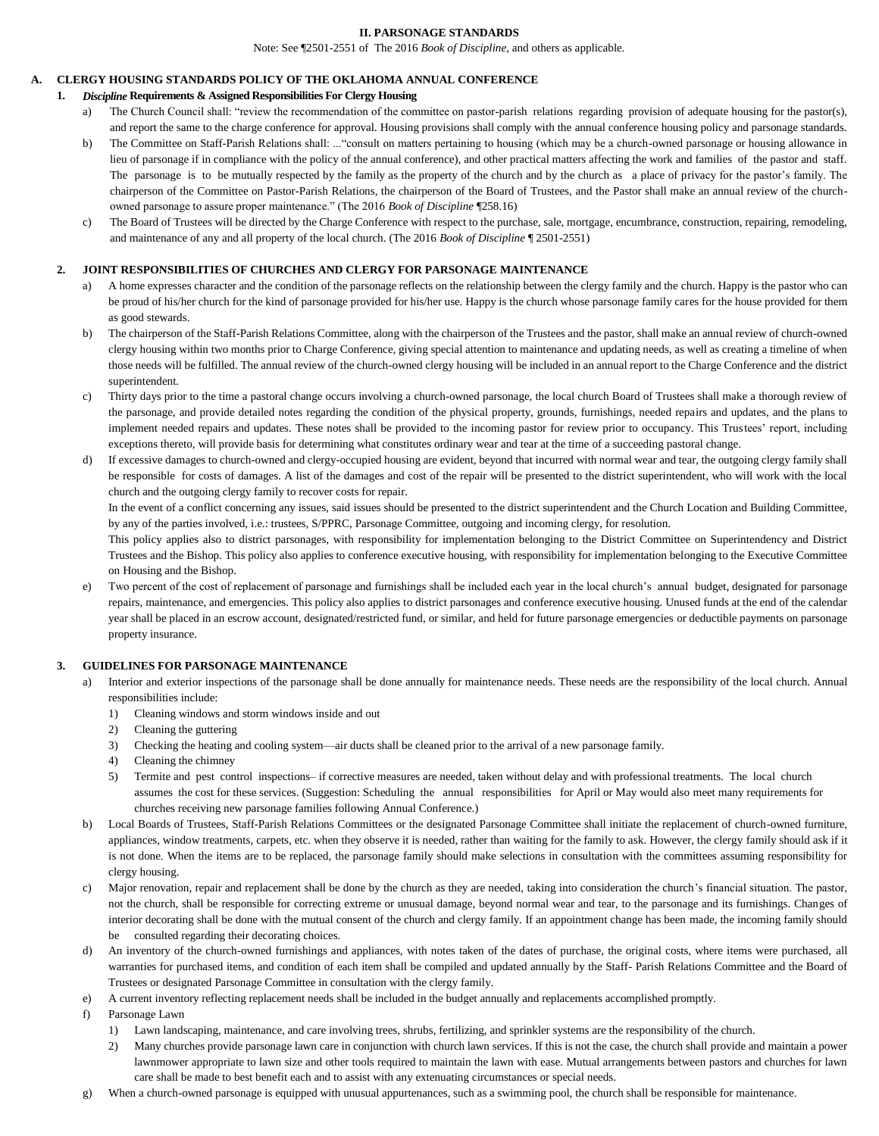#### **II. PARSONAGE STANDARDS**

Note: See ¶2501-2551 of The 2016 *Book of Discipline*, and others as applicable.

# **A. CLERGY HOUSING STANDARDS POLICY OF THE OKLAHOMA ANNUAL CONFERENCE**

### **1.** *Discipline* **Requirements & Assigned Responsibilities For Clergy Housing**

- The Church Council shall: "review the recommendation of the committee on pastor-parish relations regarding provision of adequate housing for the pastor(s), and report the same to the charge conference for approval. Housing provisions shall comply with the annual conference housing policy and parsonage standards.
- b) The Committee on Staff-Parish Relations shall: ..."consult on matters pertaining to housing (which may be a church-owned parsonage or housing allowance in lieu of parsonage if in compliance with the policy of the annual conference), and other practical matters affecting the work and families of the pastor and staff. The parsonage is to be mutually respected by the family as the property of the church and by the church as a place of privacy for the pastor's family. The chairperson of the Committee on Pastor-Parish Relations, the chairperson of the Board of Trustees, and the Pastor shall make an annual review of the churchowned parsonage to assure proper maintenance." (The 2016 *Book of Discipline* ¶258.16)
- c) The Board of Trustees will be directed by the Charge Conference with respect to the purchase, sale, mortgage, encumbrance, construction, repairing, remodeling, and maintenance of any and all property of the local church. (The 2016 *Book of Discipline* ¶ 2501-2551)

#### **2. JOINT RESPONSIBILITIES OF CHURCHES AND CLERGY FOR PARSONAGE MAINTENANCE**

- a) A home expresses character and the condition of the parsonage reflects on the relationship between the clergy family and the church. Happy is the pastor who can be proud of his/her church for the kind of parsonage provided for his/her use. Happy is the church whose parsonage family cares for the house provided for them as good stewards.
- b) The chairperson of the Staff-Parish Relations Committee, along with the chairperson of the Trustees and the pastor, shall make an annual review of church-owned clergy housing within two months prior to Charge Conference, giving special attention to maintenance and updating needs, as well as creating a timeline of when those needs will be fulfilled. The annual review of the church-owned clergy housing will be included in an annual report to the Charge Conference and the district superintendent.
- c) Thirty days prior to the time a pastoral change occurs involving a church-owned parsonage, the local church Board of Trustees shall make a thorough review of the parsonage, and provide detailed notes regarding the condition of the physical property, grounds, furnishings, needed repairs and updates, and the plans to implement needed repairs and updates. These notes shall be provided to the incoming pastor for review prior to occupancy. This Trustees' report, including exceptions thereto, will provide basis for determining what constitutes ordinary wear and tear at the time of a succeeding pastoral change.
- d) If excessive damages to church-owned and clergy-occupied housing are evident, beyond that incurred with normal wear and tear, the outgoing clergy family shall be responsible for costs of damages. A list of the damages and cost of the repair will be presented to the district superintendent, who will work with the local church and the outgoing clergy family to recover costs for repair.

In the event of a conflict concerning any issues, said issues should be presented to the district superintendent and the Church Location and Building Committee, by any of the parties involved, i.e.: trustees, S/PPRC, Parsonage Committee, outgoing and incoming clergy, for resolution.

This policy applies also to district parsonages, with responsibility for implementation belonging to the District Committee on Superintendency and District Trustees and the Bishop. This policy also applies to conference executive housing, with responsibility for implementation belonging to the Executive Committee on Housing and the Bishop.

e) Two percent of the cost of replacement of parsonage and furnishings shall be included each year in the local church's annual budget, designated for parsonage repairs, maintenance, and emergencies. This policy also applies to district parsonages and conference executive housing. Unused funds at the end of the calendar year shall be placed in an escrow account, designated/restricted fund, or similar, and held for future parsonage emergencies or deductible payments on parsonage property insurance.

#### **3. GUIDELINES FOR PARSONAGE MAINTENANCE**

- Interior and exterior inspections of the parsonage shall be done annually for maintenance needs. These needs are the responsibility of the local church. Annual responsibilities include:
	- 1) Cleaning windows and storm windows inside and out
	- 2) Cleaning the guttering
	- 3) Checking the heating and cooling system—air ducts shall be cleaned prior to the arrival of a new parsonage family.
	- 4) Cleaning the chimney
	- 5) Termite and pest control inspections– if corrective measures are needed, taken without delay and with professional treatments. The local church assumes the cost for these services. (Suggestion: Scheduling the annual responsibilities for April or May would also meet many requirements for churches receiving new parsonage families following Annual Conference.)
- b) Local Boards of Trustees, Staff-Parish Relations Committees or the designated Parsonage Committee shall initiate the replacement of church-owned furniture, appliances, window treatments, carpets, etc. when they observe it is needed, rather than waiting for the family to ask. However, the clergy family should ask if it is not done. When the items are to be replaced, the parsonage family should make selections in consultation with the committees assuming responsibility for clergy housing.
- c) Major renovation, repair and replacement shall be done by the church as they are needed, taking into consideration the church's financial situation. The pastor, not the church, shall be responsible for correcting extreme or unusual damage, beyond normal wear and tear, to the parsonage and its furnishings. Changes of interior decorating shall be done with the mutual consent of the church and clergy family. If an appointment change has been made, the incoming family should be consulted regarding their decorating choices.
- d) An inventory of the church-owned furnishings and appliances, with notes taken of the dates of purchase, the original costs, where items were purchased, all warranties for purchased items, and condition of each item shall be compiled and updated annually by the Staff- Parish Relations Committee and the Board of Trustees or designated Parsonage Committee in consultation with the clergy family.
- e) A current inventory reflecting replacement needs shall be included in the budget annually and replacements accomplished promptly.
- f) Parsonage Lawn
	- 1) Lawn landscaping, maintenance, and care involving trees, shrubs, fertilizing, and sprinkler systems are the responsibility of the church.
	- 2) Many churches provide parsonage lawn care in conjunction with church lawn services. If this is not the case, the church shall provide and maintain a power lawnmower appropriate to lawn size and other tools required to maintain the lawn with ease. Mutual arrangements between pastors and churches for lawn care shall be made to best benefit each and to assist with any extenuating circumstances or special needs.
- When a church-owned parsonage is equipped with unusual appurtenances, such as a swimming pool, the church shall be responsible for maintenance.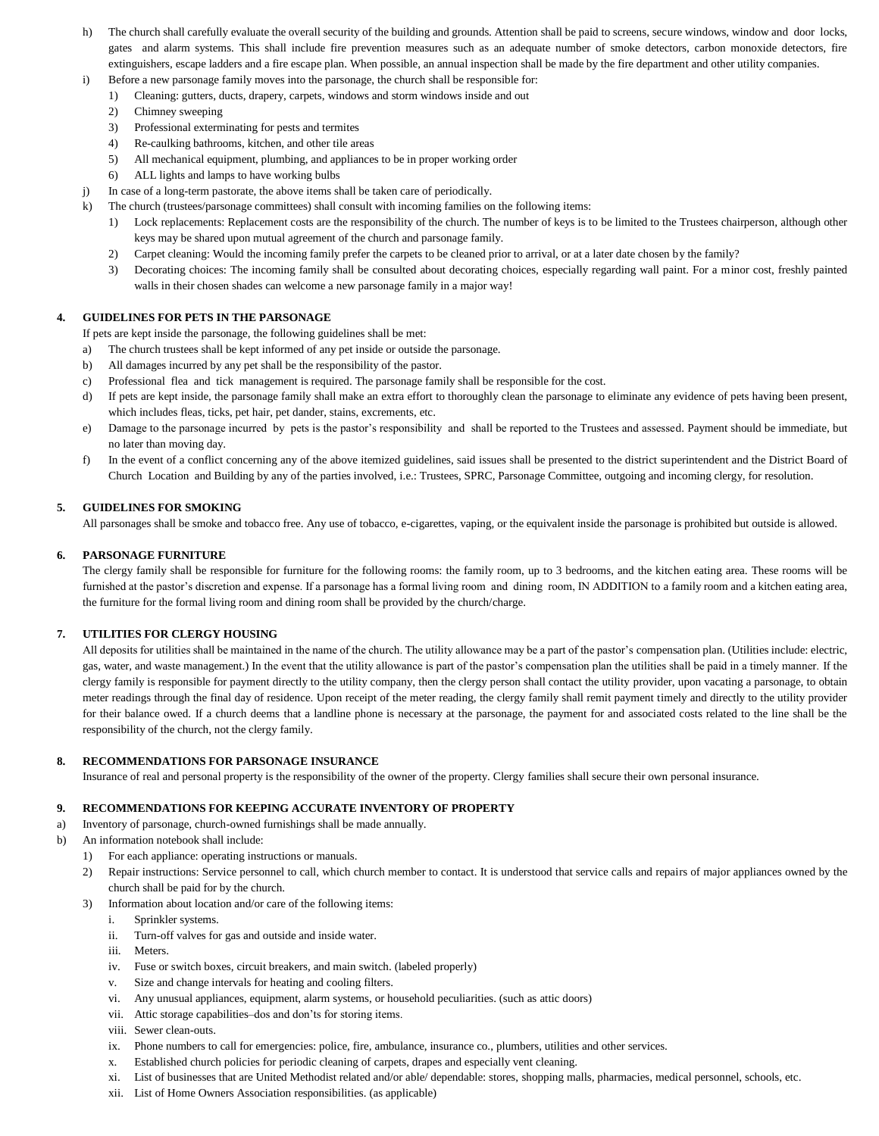- h) The church shall carefully evaluate the overall security of the building and grounds. Attention shall be paid to screens, secure windows, window and door locks, gates and alarm systems. This shall include fire prevention measures such as an adequate number of smoke detectors, carbon monoxide detectors, fire extinguishers, escape ladders and a fire escape plan. When possible, an annual inspection shall be made by the fire department and other utility companies.
- i) Before a new parsonage family moves into the parsonage, the church shall be responsible for:
	- 1) Cleaning: gutters, ducts, drapery, carpets, windows and storm windows inside and out
	- 2) Chimney sweeping
	- 3) Professional exterminating for pests and termites
	- 4) Re-caulking bathrooms, kitchen, and other tile areas
	- 5) All mechanical equipment, plumbing, and appliances to be in proper working order
	- 6) ALL lights and lamps to have working bulbs
- j) In case of a long-term pastorate, the above items shall be taken care of periodically.
- k) The church (trustees/parsonage committees) shall consult with incoming families on the following items:
	- 1) Lock replacements: Replacement costs are the responsibility of the church. The number of keys is to be limited to the Trustees chairperson, although other keys may be shared upon mutual agreement of the church and parsonage family.
	- 2) Carpet cleaning: Would the incoming family prefer the carpets to be cleaned prior to arrival, or at a later date chosen by the family?
	- 3) Decorating choices: The incoming family shall be consulted about decorating choices, especially regarding wall paint. For a minor cost, freshly painted walls in their chosen shades can welcome a new parsonage family in a major way!

# **4. GUIDELINES FOR PETS IN THE PARSONAGE**

If pets are kept inside the parsonage, the following guidelines shall be met:

- a) The church trustees shall be kept informed of any pet inside or outside the parsonage.
- b) All damages incurred by any pet shall be the responsibility of the pastor.
- c) Professional flea and tick management is required. The parsonage family shall be responsible for the cost.
- d) If pets are kept inside, the parsonage family shall make an extra effort to thoroughly clean the parsonage to eliminate any evidence of pets having been present, which includes fleas, ticks, pet hair, pet dander, stains, excrements, etc.
- e) Damage to the parsonage incurred by pets is the pastor's responsibility and shall be reported to the Trustees and assessed. Payment should be immediate, but no later than moving day.
- f) In the event of a conflict concerning any of the above itemized guidelines, said issues shall be presented to the district superintendent and the District Board of Church Location and Building by any of the parties involved, i.e.: Trustees, SPRC, Parsonage Committee, outgoing and incoming clergy, for resolution.

# **5. GUIDELINES FOR SMOKING**

All parsonages shall be smoke and tobacco free. Any use of tobacco, e-cigarettes, vaping, or the equivalent inside the parsonage is prohibited but outside is allowed.

# **6. PARSONAGE FURNITURE**

The clergy family shall be responsible for furniture for the following rooms: the family room, up to 3 bedrooms, and the kitchen eating area. These rooms will be furnished at the pastor's discretion and expense. If a parsonage has a formal living room and dining room, IN ADDITION to a family room and a kitchen eating area, the furniture for the formal living room and dining room shall be provided by the church/charge.

### **7. UTILITIES FOR CLERGY HOUSING**

All deposits for utilities shall be maintained in the name of the church. The utility allowance may be a part of the pastor's compensation plan. (Utilities include: electric, gas, water, and waste management.) In the event that the utility allowance is part of the pastor's compensation plan the utilities shall be paid in a timely manner. If the clergy family is responsible for payment directly to the utility company, then the clergy person shall contact the utility provider, upon vacating a parsonage, to obtain meter readings through the final day of residence. Upon receipt of the meter reading, the clergy family shall remit payment timely and directly to the utility provider for their balance owed. If a church deems that a landline phone is necessary at the parsonage, the payment for and associated costs related to the line shall be the responsibility of the church, not the clergy family.

### **8. RECOMMENDATIONS FOR PARSONAGE INSURANCE**

Insurance of real and personal property is the responsibility of the owner of the property. Clergy families shall secure their own personal insurance.

### **9. RECOMMENDATIONS FOR KEEPING ACCURATE INVENTORY OF PROPERTY**

# a) Inventory of parsonage, church-owned furnishings shall be made annually.

- b) An information notebook shall include:
	- 1) For each appliance: operating instructions or manuals.
	- 2) Repair instructions: Service personnel to call, which church member to contact. It is understood that service calls and repairs of major appliances owned by the church shall be paid for by the church.
	- 3) Information about location and/or care of the following items:
		- i. Sprinkler systems.
		- ii. Turn-off valves for gas and outside and inside water.
		- iii. Meters.
		- iv. Fuse or switch boxes, circuit breakers, and main switch. (labeled properly)
		- v. Size and change intervals for heating and cooling filters.
		- vi. Any unusual appliances, equipment, alarm systems, or household peculiarities. (such as attic doors)
		- vii. Attic storage capabilities–dos and don'ts for storing items.
		- viii. Sewer clean-outs.
		- ix. Phone numbers to call for emergencies: police, fire, ambulance, insurance co., plumbers, utilities and other services.
		- x. Established church policies for periodic cleaning of carpets, drapes and especially vent cleaning.
		- xi. List of businesses that are United Methodist related and/or able/ dependable: stores, shopping malls, pharmacies, medical personnel, schools, etc.
		- xii. List of Home Owners Association responsibilities. (as applicable)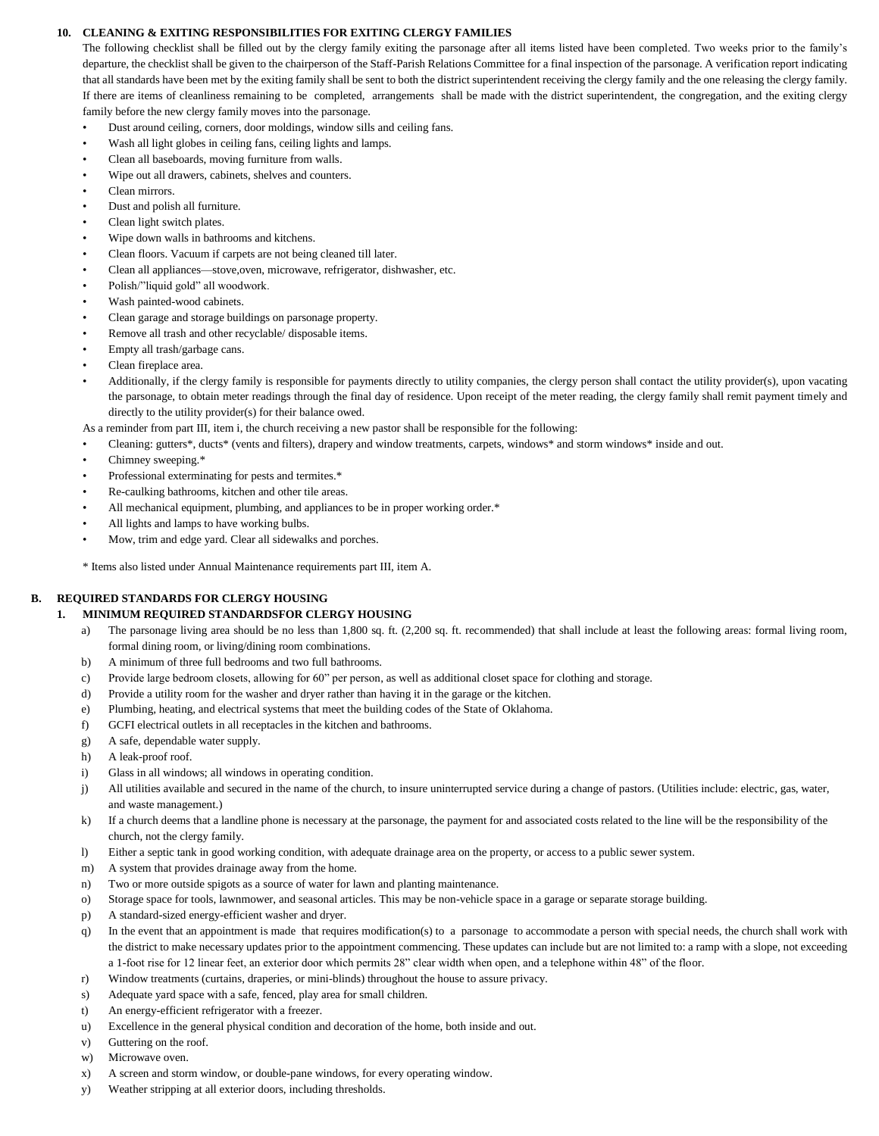#### **10. CLEANING & EXITING RESPONSIBILITIES FOR EXITING CLERGY FAMILIES**

The following checklist shall be filled out by the clergy family exiting the parsonage after all items listed have been completed. Two weeks prior to the family's departure, the checklist shall be given to the chairperson of the Staff-Parish Relations Committee for a final inspection of the parsonage. A verification report indicating that all standards have been met by the exiting family shall be sent to both the district superintendent receiving the clergy family and the one releasing the clergy family. If there are items of cleanliness remaining to be completed, arrangements shall be made with the district superintendent, the congregation, and the exiting clergy family before the new clergy family moves into the parsonage.

- Dust around ceiling, corners, door moldings, window sills and ceiling fans.
- Wash all light globes in ceiling fans, ceiling lights and lamps.
- Clean all baseboards, moving furniture from walls.
- Wipe out all drawers, cabinets, shelves and counters.
- Clean mirrors.
- Dust and polish all furniture.
- Clean light switch plates.
- Wipe down walls in bathrooms and kitchens.
- Clean floors. Vacuum if carpets are not being cleaned till later.
- Clean all appliances—stove,oven, microwave, refrigerator, dishwasher, etc.
- Polish/"liquid gold" all woodwork.
- Wash painted-wood cabinets.
- Clean garage and storage buildings on parsonage property.
- Remove all trash and other recyclable/ disposable items.
- Empty all trash/garbage cans.
- Clean fireplace area.
- Additionally, if the clergy family is responsible for payments directly to utility companies, the clergy person shall contact the utility provider(s), upon vacating the parsonage, to obtain meter readings through the final day of residence. Upon receipt of the meter reading, the clergy family shall remit payment timely and directly to the utility provider(s) for their balance owed.

As a reminder from part III, item i, the church receiving a new pastor shall be responsible for the following:

- Cleaning: gutters\*, ducts\* (vents and filters), drapery and window treatments, carpets, windows\* and storm windows\* inside and out.
- Chimney sweeping.\*
- Professional exterminating for pests and termites.\*
- Re-caulking bathrooms, kitchen and other tile areas.
- All mechanical equipment, plumbing, and appliances to be in proper working order.\*
- All lights and lamps to have working bulbs.
- Mow, trim and edge yard. Clear all sidewalks and porches.
- \* Items also listed under Annual Maintenance requirements part III, item A.

## **B. REQUIRED STANDARDS FOR CLERGY HOUSING**

#### **1. MINIMUM REQUIRED STANDARDSFOR CLERGY HOUSING**

- a) The parsonage living area should be no less than 1,800 sq. ft. (2,200 sq. ft. recommended) that shall include at least the following areas: formal living room, formal dining room, or living/dining room combinations.
- b) A minimum of three full bedrooms and two full bathrooms.
- c) Provide large bedroom closets, allowing for 60" per person, as well as additional closet space for clothing and storage.
- d) Provide a utility room for the washer and dryer rather than having it in the garage or the kitchen.
- e) Plumbing, heating, and electrical systems that meet the building codes of the State of Oklahoma.
- f) GCFI electrical outlets in all receptacles in the kitchen and bathrooms.
- g) A safe, dependable water supply.
- h) A leak-proof roof.
- i) Glass in all windows; all windows in operating condition.
- j) All utilities available and secured in the name of the church, to insure uninterrupted service during a change of pastors. (Utilities include: electric, gas, water, and waste management.)
- k) If a church deems that a landline phone is necessary at the parsonage, the payment for and associated costs related to the line will be the responsibility of the church, not the clergy family.
- l) Either a septic tank in good working condition, with adequate drainage area on the property, or access to a public sewer system.
- m) A system that provides drainage away from the home.
- n) Two or more outside spigots as a source of water for lawn and planting maintenance.
- o) Storage space for tools, lawnmower, and seasonal articles. This may be non-vehicle space in a garage or separate storage building.
- p) A standard-sized energy-efficient washer and dryer.
- q) In the event that an appointment is made that requires modification(s) to a parsonage to accommodate a person with special needs, the church shall work with the district to make necessary updates prior to the appointment commencing. These updates can include but are not limited to: a ramp with a slope, not exceeding a 1-foot rise for 12 linear feet, an exterior door which permits 28" clear width when open, and a telephone within 48" of the floor.
- r) Window treatments (curtains, draperies, or mini-blinds) throughout the house to assure privacy.
- s) Adequate yard space with a safe, fenced, play area for small children.
- t) An energy-efficient refrigerator with a freezer.
- u) Excellence in the general physical condition and decoration of the home, both inside and out.
- v) Guttering on the roof.
- w) Microwave oven.
- x) A screen and storm window, or double-pane windows, for every operating window.
- y) Weather stripping at all exterior doors, including thresholds.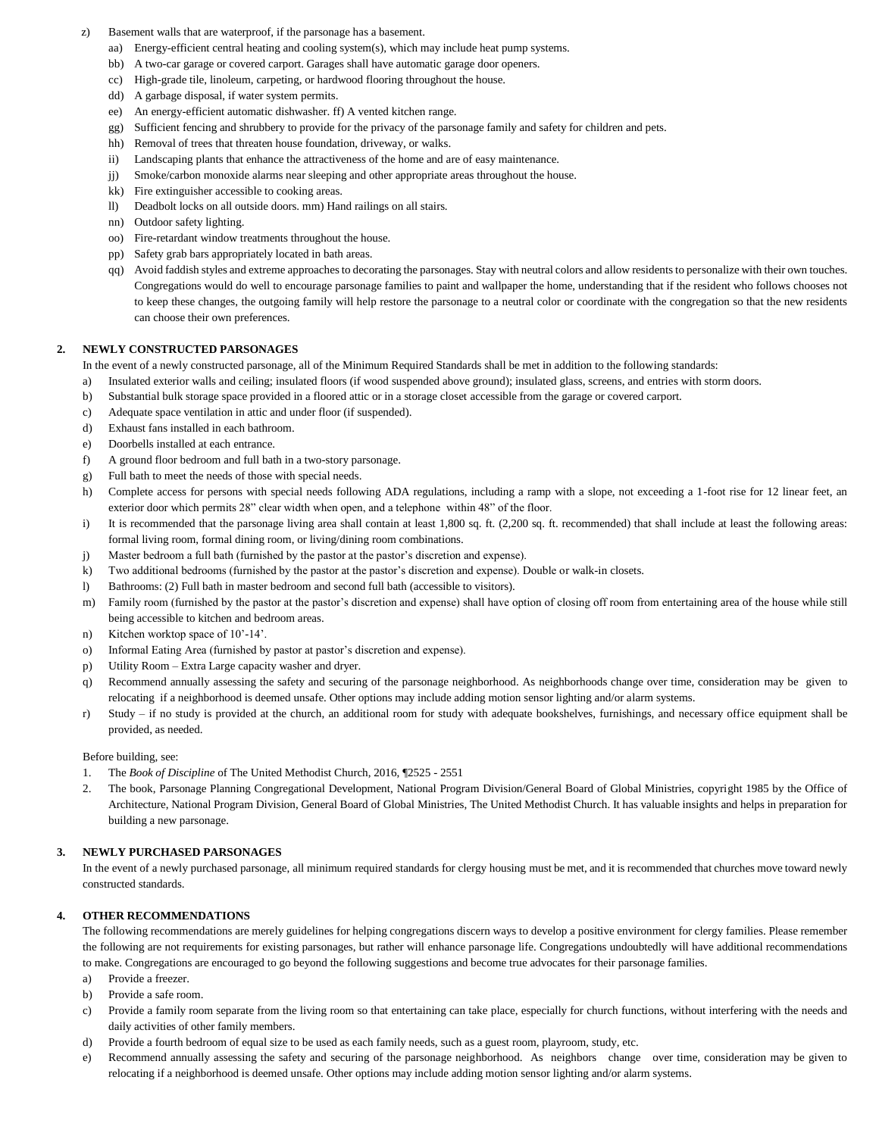- Basement walls that are waterproof, if the parsonage has a basement.
	- aa) Energy-efficient central heating and cooling system(s), which may include heat pump systems.
	- bb) A two-car garage or covered carport. Garages shall have automatic garage door openers.
	- cc) High-grade tile, linoleum, carpeting, or hardwood flooring throughout the house.
	- dd) A garbage disposal, if water system permits.
	- ee) An energy-efficient automatic dishwasher. ff) A vented kitchen range.
	- gg) Sufficient fencing and shrubbery to provide for the privacy of the parsonage family and safety for children and pets.
	- hh) Removal of trees that threaten house foundation, driveway, or walks.
	- ii) Landscaping plants that enhance the attractiveness of the home and are of easy maintenance.
	- jj) Smoke/carbon monoxide alarms near sleeping and other appropriate areas throughout the house.
	- kk) Fire extinguisher accessible to cooking areas.
	- ll) Deadbolt locks on all outside doors. mm) Hand railings on all stairs.
	- nn) Outdoor safety lighting.
	- oo) Fire-retardant window treatments throughout the house.
	- pp) Safety grab bars appropriately located in bath areas.
	- qq) Avoid faddish styles and extreme approaches to decorating the parsonages. Stay with neutral colors and allow residents to personalize with their own touches. Congregations would do well to encourage parsonage families to paint and wallpaper the home, understanding that if the resident who follows chooses not to keep these changes, the outgoing family will help restore the parsonage to a neutral color or coordinate with the congregation so that the new residents can choose their own preferences.

# **2. NEWLY CONSTRUCTED PARSONAGES**

In the event of a newly constructed parsonage, all of the Minimum Required Standards shall be met in addition to the following standards:

- a) Insulated exterior walls and ceiling; insulated floors (if wood suspended above ground); insulated glass, screens, and entries with storm doors.
- b) Substantial bulk storage space provided in a floored attic or in a storage closet accessible from the garage or covered carport.
- c) Adequate space ventilation in attic and under floor (if suspended).
- d) Exhaust fans installed in each bathroom.
- e) Doorbells installed at each entrance.
- f) A ground floor bedroom and full bath in a two-story parsonage.
- g) Full bath to meet the needs of those with special needs.
- h) Complete access for persons with special needs following ADA regulations, including a ramp with a slope, not exceeding a 1-foot rise for 12 linear feet, an exterior door which permits 28" clear width when open, and a telephone within 48" of the floor.
- i) It is recommended that the parsonage living area shall contain at least 1,800 sq. ft. (2,200 sq. ft. recommended) that shall include at least the following areas: formal living room, formal dining room, or living/dining room combinations.
- j) Master bedroom a full bath (furnished by the pastor at the pastor's discretion and expense).
- k) Two additional bedrooms (furnished by the pastor at the pastor's discretion and expense). Double or walk-in closets.
- l) Bathrooms: (2) Full bath in master bedroom and second full bath (accessible to visitors).
- m) Family room (furnished by the pastor at the pastor's discretion and expense) shall have option of closing off room from entertaining area of the house while still being accessible to kitchen and bedroom areas.
- n) Kitchen worktop space of 10'-14'.
- o) Informal Eating Area (furnished by pastor at pastor's discretion and expense).
- p) Utility Room Extra Large capacity washer and dryer.
- q) Recommend annually assessing the safety and securing of the parsonage neighborhood. As neighborhoods change over time, consideration may be given to relocating if a neighborhood is deemed unsafe. Other options may include adding motion sensor lighting and/or alarm systems.
- r) Study if no study is provided at the church, an additional room for study with adequate bookshelves, furnishings, and necessary office equipment shall be provided, as needed.

#### Before building, see:

- 1. The *Book of Discipline* of The United Methodist Church, 2016, ¶2525 2551
- 2. The book, Parsonage Planning Congregational Development, National Program Division/General Board of Global Ministries, copyright 1985 by the Office of Architecture, National Program Division, General Board of Global Ministries, The United Methodist Church. It has valuable insights and helps in preparation for building a new parsonage.

#### **3. NEWLY PURCHASED PARSONAGES**

In the event of a newly purchased parsonage, all minimum required standards for clergy housing must be met, and it is recommended that churches move toward newly constructed standards.

#### **4. OTHER RECOMMENDATIONS**

The following recommendations are merely guidelines for helping congregations discern ways to develop a positive environment for clergy families. Please remember the following are not requirements for existing parsonages, but rather will enhance parsonage life. Congregations undoubtedly will have additional recommendations to make. Congregations are encouraged to go beyond the following suggestions and become true advocates for their parsonage families.

- a) Provide a freezer.
- b) Provide a safe room.
- c) Provide a family room separate from the living room so that entertaining can take place, especially for church functions, without interfering with the needs and daily activities of other family members.
- d) Provide a fourth bedroom of equal size to be used as each family needs, such as a guest room, playroom, study, etc.
- e) Recommend annually assessing the safety and securing of the parsonage neighborhood. As neighbors change over time, consideration may be given to relocating if a neighborhood is deemed unsafe. Other options may include adding motion sensor lighting and/or alarm systems.